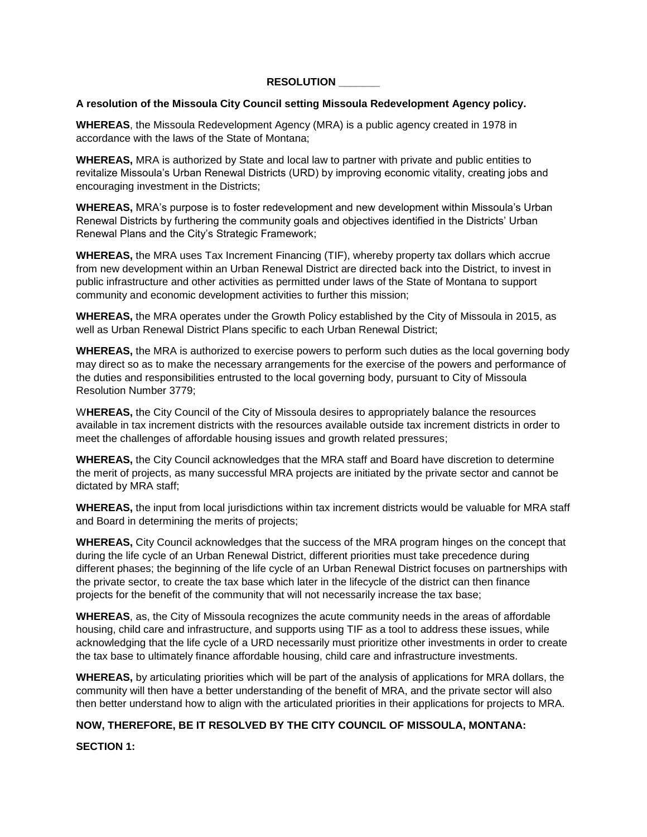#### **RESOLUTION \_\_\_\_\_\_\_**

#### **A resolution of the Missoula City Council setting Missoula Redevelopment Agency policy.**

**WHEREAS**, the Missoula Redevelopment Agency (MRA) is a public agency created in 1978 in accordance with the laws of the State of Montana;

**WHEREAS,** MRA is authorized by State and local law to partner with private and public entities to revitalize Missoula's Urban Renewal Districts (URD) by improving economic vitality, creating jobs and encouraging investment in the Districts;

**WHEREAS,** MRA's purpose is to foster redevelopment and new development within Missoula's Urban Renewal Districts by furthering the community goals and objectives identified in the Districts' Urban Renewal Plans and the City's Strategic Framework;

**WHEREAS,** the MRA uses Tax Increment Financing (TIF), whereby property tax dollars which accrue from new development within an Urban Renewal District are directed back into the District, to invest in public infrastructure and other activities as permitted under laws of the State of Montana to support community and economic development activities to further this mission;

**WHEREAS,** the MRA operates under the Growth Policy established by the City of Missoula in 2015, as well as Urban Renewal District Plans specific to each Urban Renewal District;

**WHEREAS,** the MRA is authorized to exercise powers to perform such duties as the local governing body may direct so as to make the necessary arrangements for the exercise of the powers and performance of the duties and responsibilities entrusted to the local governing body, pursuant to City of Missoula Resolution Number 3779;

W**HEREAS,** the City Council of the City of Missoula desires to appropriately balance the resources available in tax increment districts with the resources available outside tax increment districts in order to meet the challenges of affordable housing issues and growth related pressures;

**WHEREAS,** the City Council acknowledges that the MRA staff and Board have discretion to determine the merit of projects, as many successful MRA projects are initiated by the private sector and cannot be dictated by MRA staff;

**WHEREAS,** the input from local jurisdictions within tax increment districts would be valuable for MRA staff and Board in determining the merits of projects;

**WHEREAS,** City Council acknowledges that the success of the MRA program hinges on the concept that during the life cycle of an Urban Renewal District, different priorities must take precedence during different phases; the beginning of the life cycle of an Urban Renewal District focuses on partnerships with the private sector, to create the tax base which later in the lifecycle of the district can then finance projects for the benefit of the community that will not necessarily increase the tax base;

**WHEREAS**, as, the City of Missoula recognizes the acute community needs in the areas of affordable housing, child care and infrastructure, and supports using TIF as a tool to address these issues, while acknowledging that the life cycle of a URD necessarily must prioritize other investments in order to create the tax base to ultimately finance affordable housing, child care and infrastructure investments.

**WHEREAS,** by articulating priorities which will be part of the analysis of applications for MRA dollars, the community will then have a better understanding of the benefit of MRA, and the private sector will also then better understand how to align with the articulated priorities in their applications for projects to MRA.

# **NOW, THEREFORE, BE IT RESOLVED BY THE CITY COUNCIL OF MISSOULA, MONTANA:**

**SECTION 1:**